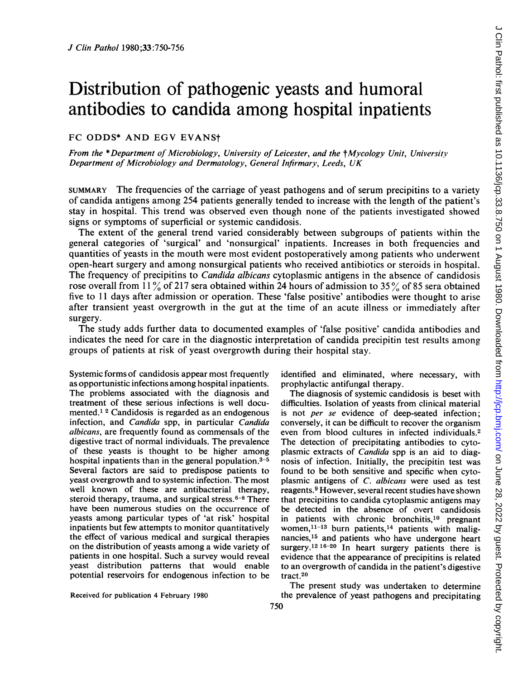# Distribution of pathogenic yeasts and humoral antibodies to candida among hospital inpatients

## FC ODDS\* AND EGV EVANSt

From the \*Department of Microbiology, University of Leicester, and the †Mycology Unit, University Department of Microbiology and Dermatology, General Infirmary, Leeds, UK

SUMMARY The frequencies of the carriage of yeast pathogens and of serum precipitins to a variety of candida antigens among 254 patients generally tended to increase with the length of the patient's stay in hospital. This trend was observed even though none of the patients investigated showed signs or symptoms of superficial or systemic candidosis.

The extent of the general trend varied considerably between subgroups of patients within the general categories of 'surgical' and 'nonsurgical' inpatients. Increases in both frequencies and quantities of yeasts in the mouth were most evident postoperatively among patients who underwent open-heart surgery and among nonsurgical patients who received antibiotics or steroids in hospital. The frequency of precipitins to *Candida albicans* cytoplasmic antigens in the absence of candidosis rose overall from 11% of 217 sera obtained within 24 hours of admission to 35% of 85 sera obtained five to <sup>11</sup> days after admission or operation. These 'false positive' antibodies were thought to arise after transient yeast overgrowth in the gut at the time of an acute illness or immediately after surgery.

The study adds further data to documented examples of 'false positive' candida antibodies and indicates the need for care in the diagnostic interpretation of candida precipitin test results among groups of patients at risk of yeast overgrowth during their hospital stay.

Systemic forms of candidosis appear most frequently as opportunistic infections among hospital inpatients. The problems associated with the diagnosis and treatment of these serious infections is well documented.<sup>1</sup> <sup>2</sup> Candidosis is regarded as an endogenous infection, and Candida spp, in particular Candida albicans, are frequently found as commensals of the digestive tract of normal individuals. The prevalence of these yeasts is thought to be higher among hospital inpatients than in the general population.<sup>3-5</sup> Several factors are said to predispose patients to yeast overgrowth and to systemic infection. The most well known of these are antibacterial therapy, steroid therapy, trauma, and surgical stress. $6-8$  There have been numerous studies on the occurrence of yeasts among particular types of 'at risk' hospital inpatients but few attempts to monitor quantitatively the effect of various medical and surgical therapies on the distribution of yeasts among a wide variety of patients in one hospital. Such a survey would reveal yeast distribution patterns that would enable potential reservoirs for endogenous infection to be

Received for publication 4 February 1980

identified and eliminated, where necessary, with prophylactic antifungal therapy.

The diagnosis of systemic candidosis is beset with difficulties. Isolation of yeasts from clinical material is not per se evidence of deep-seated infection; conversely, it can be difficult to recover the organism even from blood cultures in infected individuals.2 The detection of precipitating antibodies to cytoplasmic extracts of Candida spp is an aid to diagnosis of infection. Initially, the precipitin test was found to be both sensitive and specific when cytoplasmic antigens of C. albicans were used as test reagents.9 However, several recent studies have shown that precipitins to candida cytoplasmic antigens may be detected in the absence of overt candidosis in patients with chronic bronchitis,<sup>10</sup> pregnant women, $11-13$  burn patients, $14$  patients with malignancies,<sup>15</sup> and patients who have undergone heart surgery.<sup>12 16-20</sup> In heart surgery patients there is evidence that the appearance of precipitins is related to an overgrowth of candida in the patient's digestive tract.20

The present study was undertaken to determine the prevalence of yeast pathogens and precipitating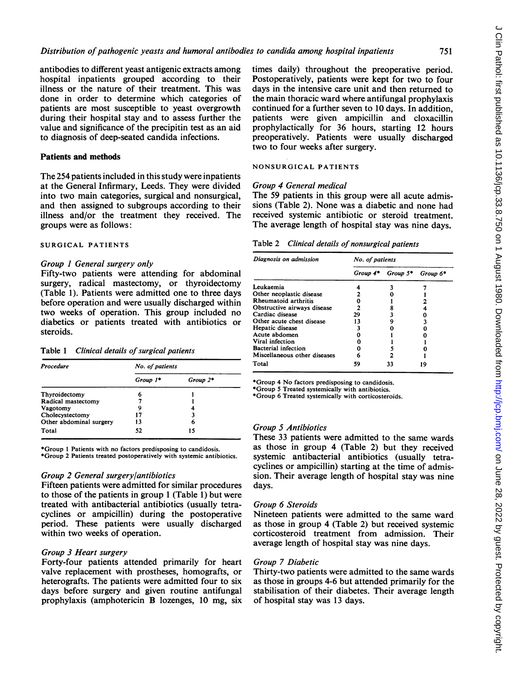antibodies to different yeast antigenic extracts among hospital inpatients grouped according to their illness or the nature of their treatment. This was done in order to determine which categories of patients are most susceptible to yeast overgrowth during their hospital stay and to assess further the value and significance of the precipitin test as an aid to diagnosis of deep-seated candida infections.

## Patients and methods

The 254 patients included in this study were inpatients at the General Infirmary, Leeds. They were divided into two main categories, surgical and nonsurgical, and then assigned to subgroups according to their illness and/or the treatment they received. The groups were as follows:

## SURGICAL PATIENTS

#### Group I General surgery only

Fifty-two patients were attending for abdominal surgery, radical mastectomy, or thyroidectomy (Table 1). Patients were admitted one to three days before operation and were usually discharged within two weeks of operation. This group included no diabetics or patients treated with antibiotics or steroids.

| Table 1 | Clinical details of surgical patients |  |  |  |  |
|---------|---------------------------------------|--|--|--|--|
|---------|---------------------------------------|--|--|--|--|

| Procedure               | No. of patients |          |  |  |  |  |
|-------------------------|-----------------|----------|--|--|--|--|
|                         | Group 1*        | Group 2* |  |  |  |  |
| Thyroidectomy           | h               |          |  |  |  |  |
| Radical mastectomy      |                 |          |  |  |  |  |
| Vagotomy                | 9               |          |  |  |  |  |
| Cholecystectomy         | 17              |          |  |  |  |  |
| Other abdominal surgery | 13              | 6        |  |  |  |  |
| Total                   | 52              | 15       |  |  |  |  |

\*Group <sup>1</sup> Patients with no factors predisposing to candidosis. \*Group 2 Patients treated postoperatively with systemic antibiotics.

#### Group 2 General surgery/antibiotics

Fifteen patients were admitted for similar procedures to those of the patients in group <sup>1</sup> (Table 1) but were treated with antibacterial antibiotics (usually tetracyclines or ampicillin) during the postoperative period. These patients were usually discharged within two weeks of operation.

#### Group 3 Heart surgery

Forty-four patients attended primarily for heart valve replacement with prostheses, homografts, or heterografts. The patients were admitted four to six days before surgery and given routine antifungal prophylaxis (amphotericin B lozenges, 10 mg, six times daily) throughout the preoperative period. Postoperatively, patients were kept for two to four days in the intensive care unit and then returned to the main thoracic ward where antifungal prophylaxis continued for a further seven to 10 days. In addition, patients were given ampicillin and cloxacillin prophylactically for 36 hours, starting 12 hours preoperatively. Patients were usually discharged two to four weeks after surgery.

## NONSURGICAL PATIENTS

#### Group 4 General medical

The 59 patients in this group were all acute admissions (Table 2). None was a diabetic and none had received systemic antibiotic or steroid treatment. The average length of hospital stay was nine days.

Table 2 Clinical details of nonsurgical patients

| Diagnosis on admission       | No. of patients |          |          |  |  |  |  |
|------------------------------|-----------------|----------|----------|--|--|--|--|
|                              | Group 4*        | Group 5* | Group 6* |  |  |  |  |
| Leukaemia                    |                 |          |          |  |  |  |  |
| Other neoplastic disease     |                 |          |          |  |  |  |  |
| Rheumatoid arthritis         |                 |          |          |  |  |  |  |
| Obstructive airways disease  |                 |          |          |  |  |  |  |
| Cardiac disease              | 29              |          |          |  |  |  |  |
| Other acute chest disease    | 13              |          |          |  |  |  |  |
| Hepatic disease              |                 |          |          |  |  |  |  |
| Acute abdomen                |                 |          |          |  |  |  |  |
| Viral infection              |                 |          |          |  |  |  |  |
| <b>Bacterial infection</b>   |                 |          |          |  |  |  |  |
| Miscellaneous other diseases |                 |          |          |  |  |  |  |
| Total                        | 59              | 33       |          |  |  |  |  |

\*Group 4 No factors predisposing to candidosis.

\*Group 5 Treated systemically with antibiotics.

\*Group 6 Treated systemically with corticosteroids.

## Group 5 Antibiotics

These 33 patients were admitted to the same wards as those in group 4 (Table 2) but they received systemic antibacterial antibiotics (usually tetracyclines or ampicillin) starting at the time of admission. Their average length of hospital stay was nine days.

#### Group 6 Steroids

Nineteen patients were admitted to the same ward as those in group 4 (Table 2) but received systemic corticosteroid treatment from admission. Their average length of hospital stay was nine days.

#### Group 7 Diabetic

Thirty-two patients were admitted to the same wards as those in groups 4-6 but attended primarily for the stabilisation of their diabetes. Their average length of hospital stay was 13 days.

751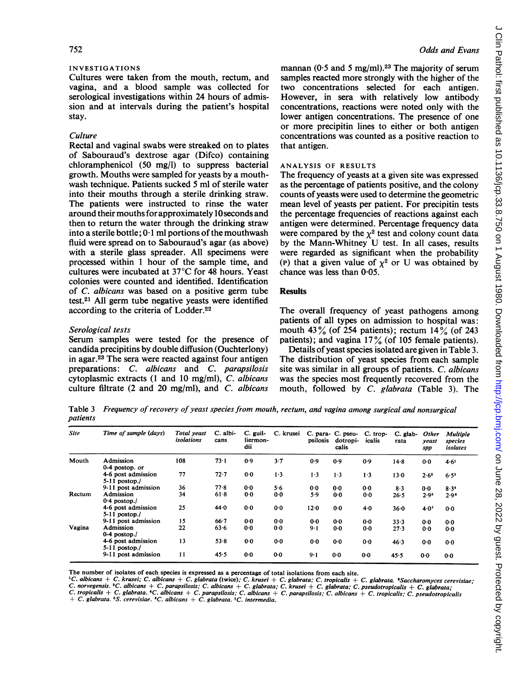## INVESTIGATIONS

Cultures were taken from the mouth, rectum, and vagina, and a blood sample was collected for serological investigations within 24 hours of admission and at intervals during the patient's hospital stay.

#### **Culture**

Rectal and vaginal swabs were streaked on to plates of Sabouraud's dextrose agar (Difco) containing chloramphenicol (50 mg/l) to suppress bacterial growth. Mouths were sampled for yeasts by a mouthwash technique. Patients sucked 5 ml of sterile water into their mouths through a sterile drinking straw. The patients were instructed to rinse the water around their mouths for approximately 10 seconds and then to return the water through the drinking straw into a sterile bottle;  $0.1$  ml portions of the mouthwash fluid were spread on to Sabouraud's agar (as above) with a sterile glass spreader. All specimens were processed within <sup>1</sup> hour of the sample time, and cultures were incubated at 37°C for 48 hours. Yeast colonies were counted and identified. Identification of C. albicans was based on a positive germ tube test.21 All germ tube negative yeasts were identified according to the criteria of Lodder.22

#### Serological tests

Serum samples were tested for the presence of candida precipitins by double diffusion (Ouchterlony) in agar.23 The sera were reacted against four antigen preparations: C. albicans and C. parapsilosis cytoplasmic extracts (1 and 10 mg/ml), C. albicans culture filtrate (2 and 20 mg/ml), and  $C$ . albicans

mannan (0.5 and 5 mg/ml).<sup>23</sup> The majority of serum samples reacted more strongly with the higher of the two concentrations selected for each antigen. However, in sera with relatively low antibody concentrations, reactions were noted only with the lower antigen concentrations. The presence of one or more precipitin lines to either or both antigen concentrations was counted as a positive reaction to that antigen.

#### ANALYSIS OF RESULTS

The frequency of yeasts at a given site was expressed as the percentage of patients positive, and the colony counts of yeasts were used to determine the geometric mean level of yeasts per patient. For precipitin tests the percentage frequencies of reactions against each antigen were determined. Percentage frequency data were compared by the  $\chi^2$  test and colony count data by the Mann-Whitney U test. In all cases, results were regarded as significant when the probability (P) that a given value of  $\chi^2$  or U was obtained by chance was less than 0.05.

#### **Results**

The overall frequency of yeast pathogens among patients of all types on admission to hospital was: mouth 43% (of 254 patients); rectum  $14\%$  (of 243 patients); and vagina  $17\%$  (of 105 female patients).

Details of yeast species isolated are given in Table 3. The distribution of yeast species from each sample site was similar in all groups of patients. C. albicans was the species most frequently recovered from the mouth, followed by C. glabrata (Table 3). The

Table 3 Frequency of recovery of yeast species from mouth, rectum, and vagina among surgical and nonsurgical patients

| <b>Site</b> | Time of sample (days)                 | Total yeast<br>isolations | C. albi-<br>cans | C. guil-<br>liermon-<br>dii | C. krusei | psilosis | C. para- C. pseu-<br>dotropi-<br>calis | C. trop-<br>icalis | C. glab-<br>rata | Other<br>yeast<br>spp | Multiple<br>species<br>isolates |
|-------------|---------------------------------------|---------------------------|------------------|-----------------------------|-----------|----------|----------------------------------------|--------------------|------------------|-----------------------|---------------------------------|
| Mouth       | Admission<br>0-4 postop. or           | 108                       | 73.1             | 0.9                         | $3 - 7$   | 0.9      | 0.9                                    | 0.9                | 14.8             | 0.0                   | 4.61                            |
|             | 4-6 post admission<br>$5-11$ postop./ | 77                        | $72 - 7$         | 0.0                         | 1.3       | 1.3      | $1 - 3$                                | $1-3$              | 130              | $2.6^{2}$             | $6.5^{3}$                       |
|             | 9-11 post admission                   | 36                        | 77.8             | 0 <sub>0</sub>              | 5.6       | 0.0      | 0.0                                    | 0.0                | $8-3$            | $0-0$                 | 8.34                            |
| Rectum      | Admission<br>$0.4$ postop./           | 34                        | 61.8             | 0.0                         | 0.0       | 5.9      | 0.0                                    | 0.0                | 26.5             | 2.9 <sup>5</sup>      | 2.9 <sup>6</sup>                |
|             | 4-6 post admission<br>$5-11$ postop./ | 25                        | 44.0             | 0.0                         | 0.0       | 120      | 0.0                                    | 4.0                | 36.0             | 4.07                  | 0.0                             |
|             | 9-11 post admission                   | 15                        | $66 - 7$         | 0.0                         | $0-0$     | 0.0      | $0-0$                                  | $0-0$              | 33.3             | 0.0                   | 0.0                             |
| Vagina      | Admission<br>$0-4$ postop./           | 22                        | $63 - 6$         | 0.0                         | 0.0       | $9 - 1$  | 0.0                                    | 0.0                | 27.3             | 0.0                   | 0.0                             |
|             | 4-6 post admission<br>$5-11$ postop./ | 13                        | $53 - 8$         | 0.0                         | 0.0       | 0.0      | 0.0                                    | 0.0                | 46.3             | $0-0$                 | 0.0                             |
|             | 9-11 post admission                   | 11                        | 45.5             | 0.0                         | 0.0       | $9 - 1$  | $0-0$                                  | $0-0$              | 45.5             | 0.0                   | 0.0                             |

The number of isolates of each species is expressed as a percentage of total isolations from each site.

<sup>1</sup>C. albicans + C. krusei; C. albicans + C. glabrata (twice); C. krusei + C. glabrata; C. tropicalis + C. glabrata. <sup>1</sup>Saccharomyces cerevisiae;<br>C. norvegensis. <sup>3</sup>C. albicans + C. parapsilosis; C. albicans + C. glabrata;

C. tropicalis + C. glabrata. "C. albicans + C. parapsilosis; C. albicans + C. parapsilosis; C. albicans + C. tropicalis; C. pseudotropicalis

C. glabrata. <sup>5</sup>S. cerevisiae. <sup>6</sup>C. albicans + C. glabrata. <sup>7</sup>C. intermedia.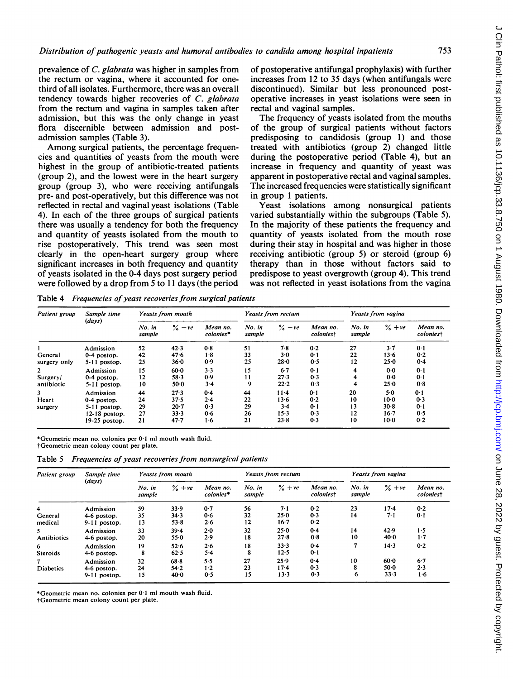prevalence of C. glabrata was higher in samples from the rectum or vagina, where it accounted for onethird of all isolates. Furthermore, there was an overall tendency towards higher recoveries of C. glabrata from the rectum and vagina in samples taken after admission, but this was the only change in yeast flora discernible between admission and postadmission samples (Table 3).

Among surgical patients, the percentage frequencies and quantities of yeasts from the mouth were highest in the group of antibiotic-treated patients (group 2), and the lowest were in the heart surgery group (group 3), who were receiving antifungals pre- and post-operatively, but this difference was not reflected in rectal and vaginal yeast isolations (Table 4). In each of the three groups of surgical patients there was usually a tendency for both the frequency and quantity of yeasts isolated from the mouth to rise postoperatively. This trend was seen most clearly in the open-heart surgery group where significant increases in both frequency and quantity of yeasts isolated in the 0-4 days post surgery period were followed by a drop from 5 to 11 days (the period

of postoperative antifungal prophylaxis) with further increases from 12 to 35 days (when antifungals were discontinued). Similar but less pronounced postoperative increases in yeast isolations were seen in rectal and vaginal samples.

The frequency of yeasts isolated from the mouths of the group of surgical patients without factors predisposing to candidosis (group 1) and those treated with antibiotics (group 2) changed little during the postoperative period (Table 4), but an increase in frequency and quantity of yeast was apparent in postoperative rectal and vaginal samples. The increased frequencies were statistically significant in group <sup>1</sup> patients.

Yeast isolations among nonsurgical patients varied substantially within the subgroups (Table 5). In the majority of these patients the frequency and quantity of yeasts isolated from the mouth rose during their stay in hospital and was higher in those receiving antibiotic (group 5) or steroid (group 6) therapy than in those without factors said to predispose to yeast overgrowth (group 4). This trend was not reflected in yeast isolations from the vagina

Table 4 Frequencies of yeast recoveries from surgical patients

| Patient group  | Sample time<br>(days) | Yeasts from mouth |                    |                       | Yeasts from rectum |                       |                              | Yeasts from vagina |                    |                       |
|----------------|-----------------------|-------------------|--------------------|-----------------------|--------------------|-----------------------|------------------------------|--------------------|--------------------|-----------------------|
|                |                       | No. in<br>sample  | $\frac{6}{2} + ve$ | Mean no.<br>colonies* | No. in<br>sample   | $\frac{9}{6} + \nu e$ | Mean no.<br><i>coloniest</i> | $No.$ in<br>sample | $\frac{9}{6} + ve$ | Mean no.<br>coloniest |
|                | Admission             | 52                | 42.3               | 0.8                   | 51                 | 7.8                   | 0.2                          | 27                 | $3 - 7$            | 0.1                   |
| General        | 0-4 postop.           | 42                | 47.6               | 1.8                   | 33                 | $3-0$                 | 0.1                          | 22                 | $13 - 6$           | 0.2                   |
| surgery only   | $5-11$ postop.        | 25                | $36 - 0$           | 0.9                   | 25                 | $28 - 0$              | 0.5                          | 12                 | 25.0               | 0.4                   |
| $\overline{2}$ | Admission             | 15                | $60-0$             | $3 - 3$               | 15                 | 6.7                   | 0.1                          | 4                  | 0.0                | 0.1                   |
| Surgery/       | 0-4 postop.           | 12                | $58 - 3$           | 0.9                   | 11                 | 27.3                  | 0.3                          | 4                  | 0.0                | 0.1                   |
| antibiotic     | $5-11$ postop.        | 10                | $50-0$             | $3-4$                 | 9                  | 22.2                  | 0.3                          | 4                  | 25.0               | 0.8                   |
| 3              | Admission             | 44                | 27.3               | 0.4                   | 44                 | $11 - 4$              | 0.1                          | 20                 | 5.0                | 0.1                   |
| Heart          | 0-4 postop.           | 24                | 37.5               | 2.4                   | 22                 | 13.6                  | 0.2                          | 10                 | $10-0$             | 0.3                   |
| surgery        | $5-11$ postop.        | 29                | $20 - 7$           | 0.3                   | 29                 | $3-4$                 | 0·1                          | 13                 | $30-8$             | 0.1                   |
|                | $12-18$ postop.       | 27                | 33.3               | 0.6                   | 26                 | $15-3$                | 0.3                          | 12                 | $16 - 7$           | 0.5                   |
|                | 19-25 postop.         | 21                | 47.7               | $1-6$                 | 21                 | $23 - 8$              | 0.3                          | 10                 | $10-0$             | 0.2                   |

\*Geometric mean no. colonies per 0-1 ml mouth wash fluid.

tGeometric mean colony count per plate.

|  | Table 5 Frequencies of yeast recoveries from nonsurgical patients |  |  |  |  |  |
|--|-------------------------------------------------------------------|--|--|--|--|--|
|--|-------------------------------------------------------------------|--|--|--|--|--|

| Patient group           | Sample time                                | Yeasts from mouth |                          |                       | Yeasts from rectum |                         |                       | Yeasts from vagina |                        |                       |
|-------------------------|--------------------------------------------|-------------------|--------------------------|-----------------------|--------------------|-------------------------|-----------------------|--------------------|------------------------|-----------------------|
|                         | (days)                                     | No. in<br>sample  | $\frac{6}{6} + ve$       | Mean no.<br>colonies* | No. in<br>sample   | $\frac{9}{6} + ve$      | Mean no.<br>coloniest | No. in<br>sample   | $\frac{9}{6} + ve$     | Mean no.<br>coloniest |
| 4<br>General<br>medical | Admission<br>4-6 postop.<br>$9-11$ postop. | 59<br>35<br>13    | 33.9<br>34.3<br>$53 - 8$ | 0.7<br>0.6<br>2.6     | 56<br>32<br>12     | 7.1<br>25.0<br>$16 - 7$ | 0.2<br>0.3<br>0.2     | 23<br>14           | $17-4$<br>7.1          | 0.2<br>0.1            |
| 5.<br>Antibiotics       | Admission<br>4-6 postop.                   | 33<br>20          | $39 - 4$<br>55.0         | $2 - 0$<br>2.9        | 32<br>18           | 25.0<br>$27 - 8$        | 0.4<br>0.8            | 14<br>10           | 42.9<br>40.0           | 1.5<br>1.7            |
| 6<br><b>Steroids</b>    | Admission<br>4-6 postop.                   | 19<br>8           | 52.6<br>62.5             | 2·6<br>$5-4$          | 18<br>8            | 33.3<br>12.5            | 0.4<br>0.1            | 7                  | 14.3                   | 0.2                   |
| 7<br><b>Diabetics</b>   | Admission<br>4-6 postop.<br>9-11 postop.   | 32<br>24<br>15    | 68.8<br>$54 - 2$<br>40.0 | 5.5<br>1.2<br>0.5     | 27<br>23<br>15     | 25.9<br>17.4<br>$13-3$  | 0.4<br>0.3<br>0.3     | 10<br>8<br>6       | 60.0<br>$50-0$<br>33.3 | 6.7<br>2.3<br>1.6     |

\*Geometric mean no. colonies per 0 <sup>1</sup> ml mouth wash fluid.

tGeometric mean colony count per plate.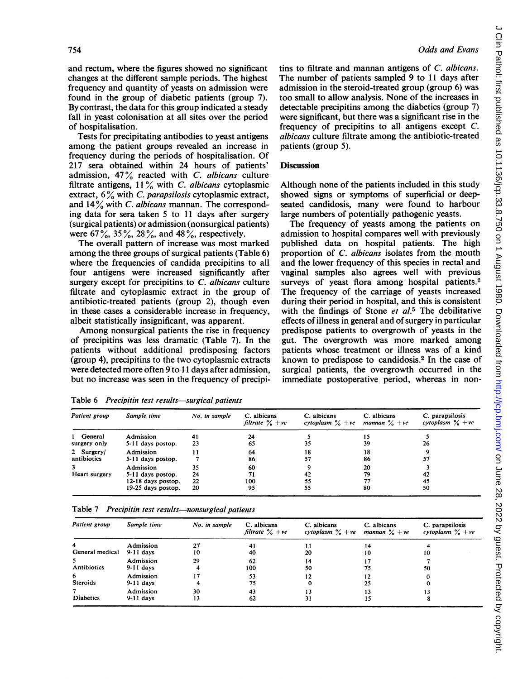and rectum, where the figures showed no significant changes at the different sample periods. The highest frequency and quantity of yeasts on admission were found in the group of diabetic patients (group 7). By contrast, the data for this group indicated a steady fall in yeast colonisation at all sites over the period of hospitalisation.

Tests for precipitating antibodies to yeast antigens among the patient groups revealed an increase in frequency during the periods of hospitalisation. Of 217 sera obtained within 24 hours of patients' admission,  $47\%$  reacted with C. albicans culture filtrate antigens,  $11\%$  with C. albicans cytoplasmic extract,  $6\%$  with C. parapsilosis cytoplasmic extract, and  $14\%$  with C. albicans mannan. The corresponding data for sera taken 5 to 11 days after surgery (surgical patients) or admission (nonsurgical patients) were  $67\%, 35\%, 28\%, \text{ and } 48\%, \text{ respectively.}$ 

The overall pattern of increase was most marked among the three groups of surgical patients (Table 6) where the frequencies of candida precipitins to all four antigens were increased significantly after surgery except for precipitins to C. albicans culture filtrate and cytoplasmic extract in the group of antibiotic-treated patients (group 2), though even in these cases a considerable increase in frequency, albeit statistically insignificant, was apparent.

Among nonsurgical patients the rise in frequency of precipitins was less dramatic (Table 7). In the patients without additional predisposing factors (group 4), precipitins to the two cytoplasmic extracts were detected more often 9 to <sup>11</sup> days after admission, but no increase was seen in the frequency of precipitins to filtrate and mannan antigens of C. albicans. The number of patients sampled 9 to <sup>11</sup> days after admission in the steroid-treated group (group 6) was too small to allow analysis. None of the increases in detectable precipitins among the diabetics (group 7) were significant, but there was a significant rise in the frequency of precipitins to all antigens except C. albicans culture filtrate among the antibiotic-treated patients (group 5).

#### **Discussion**

Although none of the patients included in this study showed signs or symptoms of superficial or deepseated candidosis, many were found to harbour large numbers of potentially pathogenic yeasts.

The frequency of yeasts among the patients on admission to hospital compares well with previously published data on hospital patients. The high proportion of C. albicans isolates from the mouth and the lower frequency of this species in rectal and vaginal samples also agrees well with previous surveys of yeast flora among hospital patients.<sup>2</sup> The frequency of the carriage of yeasts increased during their period in hospital, and this is consistent with the findings of Stone  $et$   $al.5$  The debilitative effects of illness in general and of surgery in particular predispose patients to overgrowth of yeasts in the gut. The overgrowth was more marked among patients whose treatment or illness was of a kind known to predispose to candidosis.2 In the case of surgical patients, the overgrowth occurred in the immediate postoperative period, whereas in non-

|  |  | Table 6 Precipitin test results—surgical patients |  |  |
|--|--|---------------------------------------------------|--|--|
|--|--|---------------------------------------------------|--|--|

| Patient group             | Sample time                                                                | No. in sample        | C. albicans<br>filtrate $\frac{1}{6} + ve$ | C. albicans<br>cytoplasm $\frac{9}{6} + \nu e$ | C. albicans<br>mannan $\frac{9}{6}$ + ye | C. parapsilosis<br>cytoplasm $\frac{9}{6} + ve$ |
|---------------------------|----------------------------------------------------------------------------|----------------------|--------------------------------------------|------------------------------------------------|------------------------------------------|-------------------------------------------------|
| 1 General<br>surgery only | Admission<br>5-11 days postop.                                             | 41<br>23             | 24<br>65                                   | 35                                             | 15<br>39                                 | 26                                              |
| 2 Surgery/<br>antibiotics | Admission<br>5-11 days postop.                                             |                      | 64<br>86                                   | 18<br>57                                       | 18<br>86                                 | 57                                              |
| Heart surgery             | Admission<br>5-11 days postop.<br>12-18 days postop.<br>19-25 days postop. | 35<br>24<br>22<br>20 | 60<br>71<br>100<br>95                      | 42<br>55<br>55                                 | 20<br>79<br>77<br>80                     | 42<br>45<br>50                                  |

Table 7 Precipitin test results-nonsurgical patients

| Patient group        | Sample time              | No. in sample | C. albicans<br>filtrate $\frac{6}{9} + \nu e$ | C. albicans<br>cytoplasm $\frac{9}{6} + \nu e$ | C. albicans<br>mannan $\frac{9}{6} + \nu e$ | C. parapsilosis<br>cytoplasm $\frac{6}{6}$ + ve |
|----------------------|--------------------------|---------------|-----------------------------------------------|------------------------------------------------|---------------------------------------------|-------------------------------------------------|
| 4<br>General medical | Admission<br>$9-11$ days | 27<br>10      | 41<br>40                                      | 20                                             | 14<br>10                                    | 10                                              |
| 5.<br>Antibiotics    | Admission<br>$9-11$ days | 29            | 62<br>100                                     | 14<br>50                                       | 17<br>75                                    | 50                                              |
| 6<br><b>Steroids</b> | Admission<br>$9-11$ days |               | 53<br>75                                      | 12                                             | 12<br>25                                    |                                                 |
| <b>Diabetics</b>     | Admission<br>$9-11$ days | 30<br>13      | 43<br>62                                      | 31                                             | 13<br>15                                    |                                                 |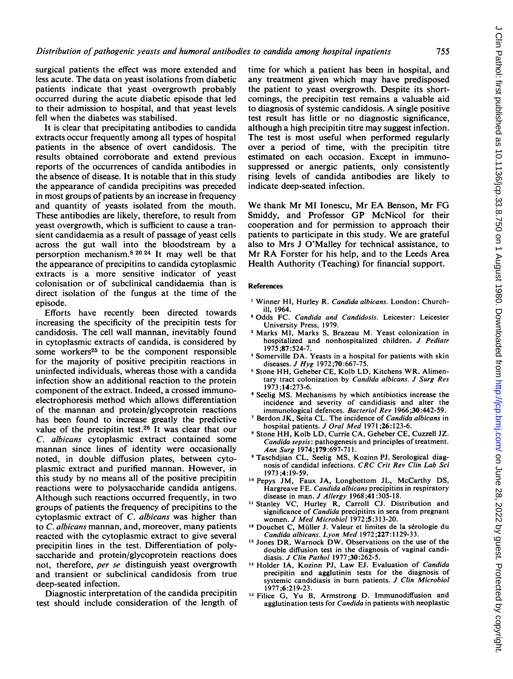surgical patients the effect was more extended and less acute. The data on yeast isolations from diabetic patients indicate that yeast overgrowth probably occurred during the acute diabetic episode that led to their admission to hospital, and that yeast levels fell when the diabetes was stabilised.

It is clear that precipitating antibodies to candida extracts occur frequently among all types of hospital patients in the absence of overt candidosis. The results obtained corroborate and extend previous reports of the occurrences of candida antibodies in the absence of disease. It is notable that in this study the appearance of candida precipitins was preceded in most groups of patients by an increase in frequency and quantity of yeasts isolated from the mouth. These antibodies are likely, therefore, to result from yeast overgrowth, which is sufficient to cause a transient candidaemia as a result of passage of yeast cells across the gut wall into the bloodstream by a persorption mechanism.8 <sup>2024</sup> It may well be that the appearance of precipitins to candida cytoplasmic extracts is a more sensitive indicator of yeast colonisation or of subclinical candidaemia than is direct isolation of the fungus at the time of the episode.

Efforts have recently been directed towards increasing the specificity of the precipitin tests for candidosis. The cell wall mannan, inevitably found in cytoplasmic extracts of candida, is considered by some workers<sup>25</sup> to be the component responsible for the majority of positive precipitin reactions in uninfected individuals, whereas those with a candida infection show an additional reaction to the protein component of the extract. Indeed, a crossed immunoelectrophoresis method which allows differentiation of the mannan and protein/glycoprotein reactions has been found to increase greatly the predictive value of the precipitin test.26 It was clear that our C. albicans cytoplasmic extract contained some mannan since lines of identity were occasionally noted, in double diffusion plates, between cytoplasmic extract and purified mannan. However, in this study by no means all of the positive precipitin reactions were to polysaccharide candida antigens. Although such reactions occurred frequently, in two groups of patients the frequency of precipitins to the cytoplasmic extract of C. albicans was higher than to C. albicans mannan, and, moreover, many patients reacted with the cytoplasmic extract to give several precipitin lines in the test. Differentiation of polysaccharide and protein/glycoprotein reactions does not, therefore, per se distinguish yeast overgrowth and transient or subclinical candidosis from true deep-seated infection.

Diagnostic interpretation of the candida precipitin test should include consideration of the length of time for which a patient has been in hospital, and any treatment given which may have predisposed the patient to yeast overgrowth. Despite its shortcomings, the precipitin test remains a valuable aid to diagnosis of systemic candidosis. A single positive test result has little or no diagnostic significance, although a high precipitin titre may suggest infection. The test is most useful when performed regularly over a period of time, with the precipitin titre estimated on each occasion. Except in immunosuppressed or anergic patients, only consistently rising levels of candida antibodies are likely to indicate deep-seated infection.

We thank Mr MI Ionescu, Mr EA Benson, Mr FG Smiddy, and Professor GP McNicol for their cooperation and for permission to approach their patients to participate in this study. We are grateful also to Mrs J O'Malley for technical assistance, to Mr RA Forster for his help, and to the Leeds Area Health Authority (Teaching) for financial support.

## References

- <sup>1</sup> Winner HI, Hurley R. Candida albicans. London: Churchill, 1964.
- <sup>2</sup> Odds FC. Candida and Candidosis. Leicester: Leicester University Press, 1979.
- <sup>3</sup> Marks MI, Marks S, Brazeau M. Yeast colonization in hospitalized and nonhospitalized children. J Pediatr 1975 ;87:524-7.
- <sup>4</sup> Somerville DA. Yeasts in a hospital for patients with skin diseases. *J Hyg* 1972;70:667-75.
- <sup>5</sup> Stone HH, Geheber CE, Kolb LD, Kitchens WR. Alimentary tract colonization by Candida albicans. J Surg Res 1973 ;14:273-6.
- <sup>6</sup> Seelig MS. Mechanisms by which antibiotics increase the incidence and severity of candidiasis and alter the immunological defences. Bacteriol Rev 1966;30:442-59.
- <sup>7</sup> Berdon JK, Seita CL. The incidence of Candida albicans in hospital patients. J Oral Med <sup>1971</sup> ;26:123-6.
- <sup>8</sup> Stone HH, Kolb LD, Currie CA, Geheber CE, Cuzzell JZ. Candida sepsis: pathogenesis and principles of treatment. Ann Surg 1974;179:697-711.
- <sup>9</sup> Taschdjian CL, Seelig MS, Kozinn PJ. Serological diagnosis of candidal infections. CRC Crit Rev Clin Lab Sci 1973 ;4:19-59.
- <sup>10</sup> Pepys JM, Faux JA, Longbottom JL, McCarthy DS, Hargreave FE. Candida albicans precipitins in respiratory disease in man. J Allergy 1968;41:305-18.
- <sup>11</sup> Stanley VC, Hurley R, Carroll CJ. Distribution and significance of Candida precipitins in sera from pregnant women. J Med Microbiol 1972;5:313-20.
- <sup>12</sup> Douchet C, Müller J. Valeur et limites de la sérologie du Candida albicans. Lyon Med 1972;227:1129-33.
- <sup>13</sup> Jones DR, Warnock DW. Observations on the use of the double diffusion test in the diagnosis of vaginal candidiasis. J Clin Pathol 1977;30:262-5.
- <sup>14</sup> Holder IA, Kozinn PJ, Law EJ. Evaluation of Candida precipitin and agglutinin tests for the diagnosis of systemic candidiasis in burn patients. J Clin Microbiol 1977 ;6:219-23.
- <sup>15</sup> Filice G, Yu B, Armstrong D. Immunodiffusion and agglutination tests for Candida in patients with neoplastic